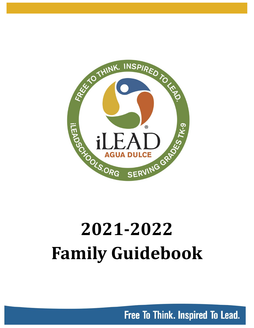

# **2021-2022 Family Guidebook**

Free To Think. Inspired To Lead.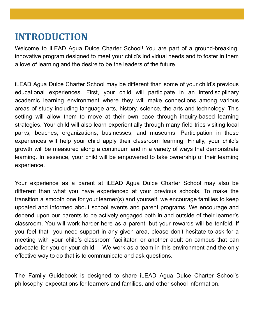# **INTRODUCTION**

Welcome to iLEAD Agua Dulce Charter School! You are part of a ground-breaking, innovative program designed to meet your child's individual needs and to foster in them a love of learning and the desire to be the leaders of the future.

iLEAD Agua Dulce Charter School may be different than some of your child's previous educational experiences. First, your child will participate in an interdisciplinary academic learning environment where they will make connections among various areas of study including language arts, history, science, the arts and technology. This setting will allow them to move at their own pace through inquiry-based learning strategies. Your child will also learn experientially through many field trips visiting local parks, beaches, organizations, businesses, and museums. Participation in these experiences will help your child apply their classroom learning. Finally, your child's growth will be measured along a continuum and in a variety of ways that demonstrate learning. In essence, your child will be empowered to take ownership of their learning experience.

Your experience as a parent at iLEAD Agua Dulce Charter School may also be different than what you have experienced at your previous schools. To make the transition a smooth one for your learner(s) and yourself, we encourage families to keep updated and informed about school events and parent programs. We encourage and depend upon our parents to be actively engaged both in and outside of their learner's classroom. You will work harder here as a parent, but your rewards will be tenfold. If you feel that you need support in any given area, please don't hesitate to ask for a meeting with your child's classroom facilitator, or another adult on campus that can advocate for you or your child. We work as a team in this environment and the only effective way to do that is to communicate and ask questions.

The Family Guidebook is designed to share iLEAD Agua Dulce Charter School's philosophy, expectations for learners and families, and other school information.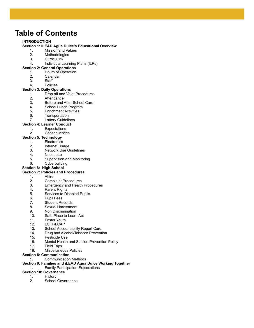### **Table of Contents**

#### **INTRODUCTION**

#### **Section 1: iLEAD Agua Dulce's Educational Overview**

- 1. Mission and Values
- 2. Methodologies
- 3. Curriculum
- 4. Individual Learning Plans (ILPs)

#### **Section 2: General Operations**

- 1. Hours of Operation
- 2. Calendar
- 3. Staff
- 4. Policies

#### **Section 3: Daily Operations**

- 1. Drop off and Valet Procedures
- 2. Attendance
- 3. Before and After School Care
- 4. School Lunch Program
- 5. Enrichment Activities
- 6. Transportation
- 7. Lottery Guidelines

#### **Section 4: Learner Conduct**

- 1. Expectations
- 2. Consequences

#### **Section 5: Technology**

- 1. Electronics
- 2. Internet Usage
- 3. Network Use Guidelines
- 4. Netiquette
- 5. Supervision and Monitoring
- 6. Cyberbullying
- **Section 6: High School**

#### **Section 7: Policies and Procedures**

- 1. Attire
- 2. Complaint Procedures
- 3. Emergency and Health Procedures
- 4. Parent Rights
- 5. Services to Disabled Pupils
- 6. Pupil Fees
- 7. Student Records
- 8. Sexual Harassment
- 9. Non Discrimination
- 10. Safe Place to Learn Act
- 11. Foster Youth
- 12. LCFF/LCAP
- 13. School Accountability Report Card
- 14. Drug and Alcohol/Tobacco Prevention
- 15. Pesticide Use
- 16. Mental Health and Suicide Prevention Policy
- 17. Field Trips
- 18. Miscellaneous Policies

#### **Section 8: Communication**

#### 1. Communication Methods

#### **Section 9: Families and iLEAD Agua Dulce Working Together**

1. Family Participation Expectations

#### **Section 10: Governance**

- 1. History
- 2. School Governance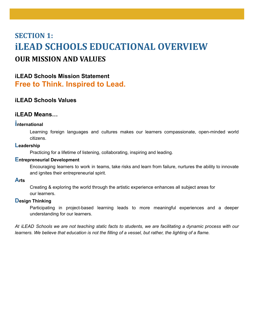# **SECTION 1: iLEAD SCHOOLS EDUCATIONAL OVERVIEW OUR MISSION AND VALUES**

### **iLEAD Schools Mission Statement Free to Think. Inspired to Lead.**

#### **iLEAD Schools Values**

#### **iLEAD Means…**

#### **international**

Learning foreign languages and cultures makes our learners compassionate, open-minded world citizens.

#### **Leadership**

Practicing for a lifetime of listening, collaborating, inspiring and leading.

#### **Entrepreneurial Development**

Encouraging learners to work in teams, take risks and learn from failure, nurtures the ability to innovate and ignites their entrepreneurial spirit.

#### **Arts**

Creating & exploring the world through the artistic experience enhances all subject areas for our learners.

#### **Design Thinking**

Participating in project-based learning leads to more meaningful experiences and a deeper understanding for our learners.

At iLEAD Schools we are not teaching static facts to students, we are facilitating a dynamic process with our learners. We believe that education is not the filling of a vessel, but rather, the lighting of a flame.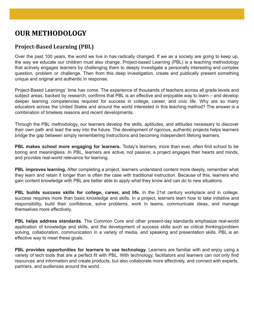### **OUR METHODOLOGY**

#### **Project-Based Learning (PBL)**

Over the past 100 years, the world we live in has radically changed. If we as a society are going to keep up, the way we educate our children must also change. Project-based Learning (PBL) is a teaching methodology that actively engages learners by challenging them to deeply investigate a personally interesting and complex question, problem or challenge. Then from this deep investigation, create and publically present something unique and original and authentic in response.

Project-Based Learnings' time has come. The experience of thousands of teachers across all grade levels and subject areas, backed by research, confirms that PBL is an effective and enjoyable way to learn – and develop deeper learning competencies required for success in college, career, and civic life. Why are so many educators across the United States and around the world interested in this teaching method? The answer is a combination of timeless reasons and recent developments.

Through the PBL methodology, our learners develop the skills, aptitudes, and attitudes necessary to discover their own path and lead the way into the future. The development of rigorous, authentic projects helps learners bridge the gap between simply remembering instructions and becoming independent lifelong learners.

**PBL makes school more engaging for learners.** Today's learners, more than ever, often find school to be boring and meaningless. In PBL, learners are active, not passive; a project engages their hearts and minds, and provides real-world relevance for learning.

**PBL improves learning.** After completing a project, learners understand content more deeply, remember what they learn and retain it longer than is often the case with traditional instruction. Because of this, learners who gain content knowledge with PBL are better able to apply what they know and can do to new situations.

**PBL builds success skills for college, career, and life.** In the 21st century workplace and in college, success requires more than basic knowledge and skills. In a project, learners learn how to take initiative and responsibility, build their confidence, solve problems, work in teams, communicate ideas, and manage themselves more effectively.

**PBL helps address standards.** The Common Core and other present-day standards emphasize real-world application of knowledge and skills, and the development of success skills such as critical thinking/problem solving, collaboration, communication in a variety of media, and speaking and presentation skills. PBL is an effective way to meet these goals.

**PBL provides opportunities for learners to use technology.** Learners are familiar with and enjoy using a variety of tech tools that are a perfect fit with PBL. With technology, facilitators and learners can not only find resources and information and create products, but also collaborate more effectively, and connect with experts, partners, and audiences around the world.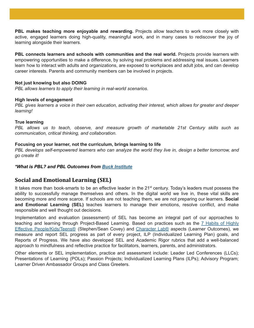**PBL makes teaching more enjoyable and rewarding.** Projects allow teachers to work more closely with active, engaged learners doing high-quality, meaningful work, and in many cases to rediscover the joy of learning alongside their learners.

**PBL connects learners and schools with communities and the real world.** Projects provide learners with empowering opportunities to make a difference, by solving real problems and addressing real issues. Learners learn how to interact with adults and organizations, are exposed to workplaces and adult jobs, and can develop career interests. Parents and community members can be involved in projects.

#### **Not just knowing but also DOING**

*PBL allows learners to apply their learning in real-world scenarios.*

#### **High levels of engagement**

PBL gives learners a voice in their own education, activating their interest, which allows for greater and deeper *learning!*

#### **True learning**

*PBL allows us to teach, observe, and measure growth of marketable 21st Century skills such as communication, critical thinking, and collaboration.*

#### **Focusing on your learner, not the curriculum, brings learning to life**

PBL develops self-empowered learners who can analyze the world they live in, design a better tomorrow, and *go create it!*

#### *\*What is PBL? and PBL Outcomes from Buck [Institute](http://www.bie.org/)*

#### **Social and Emotional Learning (SEL)**

It takes more than book-smarts to be an effective leader in the 21<sup>st</sup> century. Today's leaders must possess the ability to successfully manage themselves and others. In the digital world we live in, these vital skills are becoming more and more scarce. If schools are not teaching them, we are not preparing our learners. **Social and Emotional Learning (SEL)** teaches learners to manage their emotions, resolve conflict, and make responsible and well thought out decisions.

Implementation and evaluation (assessment) of SEL has become an integral part of our approaches to teaching and learning through Project-Based Learning. Based on practices such as the 7 [Habits](https://www.stephencovey.com/7habits/7habits.php) of Highly Effective [People/Kids/Teens®](https://www.stephencovey.com/7habits/7habits.php) (Stephen/Sean Covey) and [Character](https://characterlab.org/tools) Lab® aspects (Learner Outcomes), we measure and report SEL progress as part of every project, ILP (Individualized Learning Plan) goals, and Reports of Progress. We have also developed SEL and Academic Rigor rubrics that add a well-balanced approach to mindfulness and reflective practice for facilitators, learners, parents, and administrators.

Other elements or SEL implementation, practice and assessment include: Leader Led Conferences (LLCs); Presentations of Learning (POLs); Passion Projects; Individualized Learning Plans (ILPs); Advisory Program; Learner Driven Ambassador Groups and Class Greeters.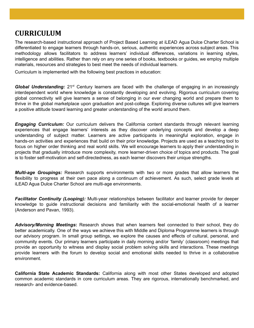### **CURRICULUM**

The research-based instructional approach of Project Based Learning at iLEAD Agua Dulce Charter School is differentiated to engage learners through hands-on, serious, authentic experiences across subject areas. This methodology allows facilitators to address learners' individual differences, variations in learning styles, intelligence and abilities. Rather than rely on any one series of books, textbooks or guides, we employ multiple materials, resources and strategies to best meet the needs of individual learners.

Curriculum is implemented with the following best practices in education:

Global Understanding: 21<sup>st</sup> Century learners are faced with the challenge of engaging in an increasingly interdependent world where knowledge is constantly developing and evolving. Rigorous curriculum covering global connectivity will give learners a sense of belonging in our ever changing world and prepare them to thrive in the global marketplace upon graduation and post-college. Exploring diverse cultures will give learners a positive attitude toward learning and greater understanding of the world around them.

*Engaging Curriculum:* Our curriculum delivers the California content standards through relevant learning experiences that engage learners' interests as they discover underlying concepts and develop a deep understanding of subject matter. Learners are active participants in meaningful exploration, engage in hands-on activities and experiences that build on their prior knowledge. Projects are used as a teaching tool to focus on higher order thinking and real world skills. We will encourage learners to apply their understanding in projects that gradually introduce more complexity, more learner-driven choice of topics and products. The goal is to foster self-motivation and self-directedness, as each learner discovers their unique strengths.

*Multi-age Groupings:* Research supports environments with two or more grades that allow learners the flexibility to progress at their own pace along a continuum of achievement. As such, select grade levels at iLEAD Agua Dulce Charter School are multi-age environments.

*Facilitator Continuity (Looping):* Multi-year relationships between facilitator and learner provide for deeper knowledge to guide instructional decisions and familiarity with the social-emotional health of a learner (Anderson and Pavan, 1993).

*Advisory/Morning Meetings***:** Research shows that when learners feel connected to their school, they do better academically. One of the ways we achieve this with Middle and Diploma Programme learners is through our advisory program. In small group settings, we explore the causes and effects of cultural, personal, and community events. Our primary learners participate in daily morning and/or 'family' (classroom) meetings that provide an opportunity to witness and display social problem solving skills and interactions. These meetings provide learners with the forum to develop social and emotional skills needed to thrive in a collaborative environment.

**California State Academic Standards:** California along with most other States developed and adopted common academic standards in core curriculum areas. They are rigorous, internationally benchmarked, and research- and evidence-based.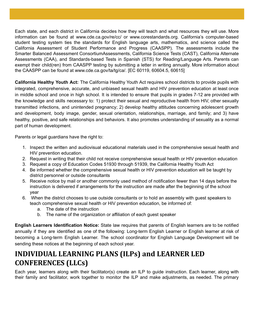Each state, and each district in California decides how they will teach and what resources they will use. More information can be found at www.cde.ca.gov/re/cc/ or www.corestandards.org. California's computer-based student testing system ties the standards for English language arts, mathematics, and science called the California Assessment of Student Performance and Progress (CAASPP). The assessments include the Smarter Balanced Assessment ConsortiumAssessments, California Science Tests (CAST), California Alternate Assessments (CAA), and Standards-based Tests in Spanish (STS) for Reading/Language Arts. Parents can exempt their child(ren) from CAASPP testing by submitting a letter in writing annually. More information about the CAASPP can be found at www.cde.ca.gov/ta/tg/ca/. [EC 60119, 60604.5, 60615]

**California Healthy Youth Act:** The California Healthy Youth Act requires school districts to provide pupils with integrated, comprehensive, accurate, and unbiased sexual health and HIV prevention education at least once in middle school and once in high school. It is intended to ensure that pupils in grades 7-12 are provided with the knowledge and skills necessary to: 1) protect their sexual and reproductive health from HIV, other sexually transmitted infections, and unintended pregnancy; 2) develop healthy attitudes concerning adolescent growth and development, body image, gender, sexual orientation, relationships, marriage, and family; and 3) have healthy, positive, and safe relationships and behaviors. It also promotes understanding of sexuality as a normal part of human development.

Parents or legal guardians have the right to:

- 1. Inspect the written and audiovisual educational materials used in the comprehensive sexual health and HIV prevention education.
- 2. Request in writing that their child not receive comprehensive sexual health or HIV prevention education
- 3. Request a copy of Education Codes 51930 through 51939, the California Healthy Youth Act
- 4. Be informed whether the comprehensive sexual health or HIV prevention education will be taught by district personnel or outside consultants
- 5. Receive notice by mail or another commonly used method of notification fewer than 14 days before the instruction is delivered if arrangements for the instruction are made after the beginning of the school year
- 6. When the district chooses to use outside consultants or to hold an assembly with guest speakers to teach comprehensive sexual health or HIV prevention education, be informed of:
	- a. The date of the instruction
	- b. The name of the organization or affiliation of each guest speaker

**English Learners Identification Notice:** State law requires that parents of English learners are to be notified annually if they are identified as one of the following: Long-term English Learner or English learner at risk of becoming a Long-term English Learner. The school coordinator for English Language Development will be sending these notices at the beginning of each school year.

### **INDIVIDUAL LEARNING PLANS (ILPs) and LEARNER LED CONFERENCES (LLCs)**

Each year, learners along with their facilitator(s) create an ILP to guide instruction. Each learner, along with their family and facilitator, work together to monitor the ILP and make adjustments, as needed. The primary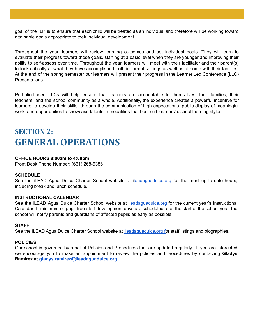goal of the ILP is to ensure that each child will be treated as an individual and therefore will be working toward attainable goals appropriate to their individual development.

Throughout the year, learners will review learning outcomes and set individual goals. They will learn to evaluate their progress toward those goals, starting at a basic level when they are younger and improving their ability to self-assess over time. Throughout the year, learners will meet with their facilitator and their parent(s) to look critically at what they have accomplished both in formal settings as well as at home with their families. At the end of the spring semester our learners will present their progress in the Learner Led Conference (LLC) Presentations.

Portfolio-based LLCs will help ensure that learners are accountable to themselves, their families, their teachers, and the school community as a whole. Additionally, the experience creates a powerful incentive for learners to develop their skills, through the communication of high expectations, public display of meaningful work, and opportunities to showcase talents in modalities that best suit learners' distinct learning styles.

# **SECTION 2: GENERAL OPERATIONS**

#### **OFFICE HOURS 8:00am to 4:00pm**

Front Desk Phone Number: (661) 268-6386

#### **SCHEDULE**

See the iLEAD Agua Dulce Charter School website at i[leadaguadulce.org](https://ileadaguadulce.org/) for the most up to date hours, including break and lunch schedule.

#### **INSTRUCTIONAL CALENDAR**

See the iLEAD Agua Dulce Charter School website at [ileadaguadulce.org](https://ileadaguadulce.org/) for the current year's Instructional Calendar. If minimum or pupil-free staff development days are scheduled after the start of the school year, the school will notify parents and guardians of affected pupils as early as possible.

#### **STAFF**

See the iLEAD Agua Dulce Charter School website at [ileadaguadulce.org](https://ileadaguadulce.org/) for staff listings and biographies.

#### **POLICIES**

Our school is governed by a set of Policies and Procedures that are updated regularly. If you are interested we encourage you to make an appointment to review the policies and procedures by contacting **Gladys Ramirez at [gladys.ramirez@ileadaguadulce.org](mailto:gladys.ramirez@ileadaguadulce.org)**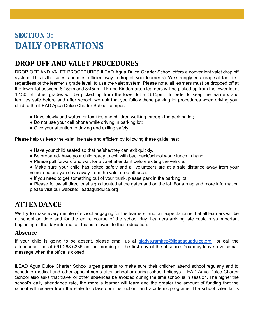# **SECTION 3: DAILY OPERATIONS**

### **DROP OFF AND VALET PROCEDURES**

DROP OFF AND VALET PROCEDURES iLEAD Agua Dulce Charter School offers a convenient valet drop off system. This is the safest and most efficient way to drop off your learner(s). We strongly encourage all families, regardless of the learner's grade level, to use the valet system. Please note, all learners must be dropped off at the lower lot between 8:15am and 8:45am. TK and Kindergarten learners will be picked up from the lower lot at 12:30, all other grades will be picked up from the lower lot at 3:15pm. In order to keep the learners and families safe before and after school, we ask that you follow these parking lot procedures when driving your child to the iLEAD Agua Dulce Charter School campus;

- Drive slowly and watch for families and children walking through the parking lot;
- Do not use your cell phone while driving in parking lot;
- Give your attention to driving and exiting safely;

Please help us keep the valet line safe and efficient by following these guidelines:

- Have your child seated so that he/she/they can exit quickly.
- Be prepared- have your child ready to exit with backpack/school work/ lunch in hand.
- Please pull forward and wait for a valet attendant before exiting the vehicle.
- Make sure your child has exited safely and all volunteers are at a safe distance away from your vehicle before you drive away from the valet drop off area.
- If you need to get something out of your trunk, please park in the parking lot.
- Please follow all directional signs located at the gates and on the lot. For a map and more information please visit our website: ileadaguadulce.org

### **ATTENDANCE**

We try to make every minute of school engaging for the learners, and our expectation is that all learners will be at school on time and for the entire course of the school day. Learners arriving late could miss important beginning of the day information that is relevant to their education.

#### **Absence**

If your child is going to be absent, please email us at [gladys.ramirez@ileadaguadulce.org](mailto:gladys.ramirez@ileadaguadulce.org) or call the attendance line at 661-268-6386 on the morning of the first day of the absence. You may leave a voicemail message when the office is closed.

iLEAD Agua Dulce Charter School urges parents to make sure their children attend school regularly and to schedule medical and other appointments after school or during school holidays. iLEAD Agua Dulce Charter School also asks that travel or other absences be avoided during the time school is in session. The higher the school's daily attendance rate, the more a learner will learn and the greater the amount of funding that the school will receive from the state for classroom instruction, and academic programs. The school calendar is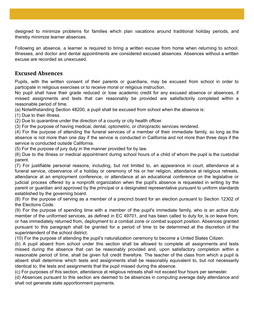designed to minimize problems for families which plan vacations around traditional holiday periods, and thereby minimize learner absences.

Following an absence, a learner is required to bring a written excuse from home when returning to school. Illnesses, and doctor and dental appointments are considered excused absences. Absences without a written excuse are recorded as unexcused.

#### **Excused Absences**

Pupils, with the written consent of their parents or guardians, may be excused from school in order to participate in religious exercises or to receive moral or religious instruction.

No pupil shall have their grade reduced or lose academic credit for any excused absence or absences, if missed assignments and tests that can reasonably be provided are satisfactorily completed within a reasonable period of time.

(a) Notwithstanding Section 48200, a pupil shall be excused from school when the absence is:

(1) Due to their illness.

(2) Due to quarantine under the direction of a county or city health officer.

(3) For the purpose of having medical, dental, optometric, or chiropractic services rendered.

(4) For the purpose of attending the funeral services of a member of their immediate family, so long as the absence is not more than one day if the service is conducted in California and not more than three days if the service is conducted outside California.

(5) For the purpose of jury duty in the manner provided for by law.

(6) Due to the illness or medical appointment during school hours of a child of whom the pupil is the custodial parent.

(7) For justifiable personal reasons, including, but not limited to, an appearance in court, attendance at a funeral service, observance of a holiday or ceremony of his or her religion, attendance at religious retreats, attendance at an employment conference, or attendance at an educational conference on the legislative or judicial process offered by a nonprofit organization when the pupil's absence is requested in writing by the parent or guardian and approved by the principal or a designated representative pursuant to uniform standards established by the governing board.

(8) For the purpose of serving as a member of a precinct board for an election pursuant to Section 12302 of the Elections Code.

(9) For the purpose of spending time with a member of the pupil's immediate family, who is an active duty member of the uniformed services, as defined in EC 49701, and has been called to duty for, is on leave from, or has immediately returned from, deployment to a combat zone or combat support position. Absences granted pursuant to this paragraph shall be granted for a period of time to be determined at the discretion of the superintendent of the school district.

(10) For the purpose of attending the pupil's naturalization ceremony to become a United States Citizen.

(b) A pupil absent from school under this section shall be allowed to complete all assignments and tests missed during the absence that can be reasonably provided and, upon satisfactory completion within a reasonable period of time, shall be given full credit therefore. The teacher of the class from which a pupil is absent shall determine which tests and assignments shall be reasonably equivalent to, but not necessarily identical to, the tests and assignments that the pupil missed during the absence.

(c) For purposes of this section, attendance at religious retreats shall not exceed four hours per semester.

(d) Absences pursuant to this section are deemed to be absences in computing average daily attendance and shall not generate state apportionment payments.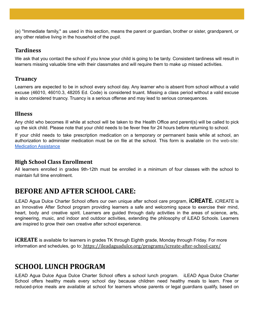(e) "Immediate family," as used in this section, means the parent or guardian, brother or sister, grandparent, or any other relative living in the household of the pupil.

#### **Tardiness**

We ask that you contact the school if you know your child is going to be tardy. Consistent tardiness will result in learners missing valuable time with their classmates and will require them to make up missed activities.

#### **Truancy**

Learners are expected to be in school every school day. Any learner who is absent from school without a valid excuse (46010, 46010.3, 48205 Ed. Code) is considered truant. Missing a class period without a valid excuse is also considered truancy. Truancy is a serious offense and may lead to serious consequences.

#### **Illness**

Any child who becomes ill while at school will be taken to the Health Office and parent(s) will be called to pick up the sick child. Please note that your child needs to be fever free for 24 hours before returning to school.

If your child needs to take prescription medication on a temporary or permanent basis while at school, an authorization to administer medication must be on file at the school. This form is available on the web-site: [Medication](https://ileadaguadulce.org/medical-information/request-for-assistance-concerning-learner-medications/) Assistance

#### **High School Class Enrollment**

All learners enrolled in grades 9th-12th must be enrolled in a minimum of four classes with the school to maintain full time enrollment.

### **BEFORE AND AFTER SCHOOL CARE:**

iLEAD Agua Dulce Charter School offers our own unique after school care program, **iCREATE.** iCREATE is an Innovative After School program providing learners a safe and welcoming space to exercise their mind, heart, body and creative spirit. Learners are guided through daily activities in the areas of science, arts, engineering, music, and indoor and outdoor activities, extending the philosophy of iLEAD Schools. Learners are inspired to grow their own creative after school experience.

*iCREATE* is available for learners in grades TK through Eighth grade, Monday through Friday. For more information and schedules, go to: <https://ileadaguadulce.org/programs/icreate-after-school-care/>

### **SCHOOL LUNCH PROGRAM**

iLEAD Agua Dulce Agua Dulce Charter School offers a school lunch program. iLEAD Agua Dulce Charter School offers healthy meals every school day because children need healthy meals to learn. Free or reduced-price meals are available at school for learners whose parents or legal guardians qualify, based on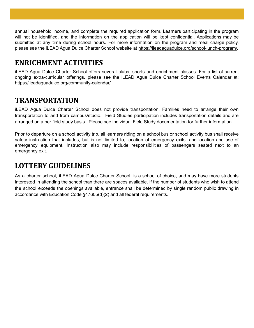annual household income, and complete the required application form. Learners participating in the program will not be identified, and the information on the application will be kept confidential. Applications may be submitted at any time during school hours. For more information on the program and meal charge policy, please see the iLEAD Agua Dulce Charter School website at <https://ileadaguadulce.org/school-lunch-program/>*.*

### **ENRICHMENT ACTIVITIES**

iLEAD Agua Dulce Charter School offers several clubs, sports and enrichment classes. For a list of current ongoing extra-curricular offerings, please see the iLEAD Agua Dulce Charter School Events Calendar at: <https://ileadaguadulce.org/community-calendar/>

### **TRANSPORTATION**

iLEAD Agua Dulce Charter School does not provide transportation. Families need to arrange their own transportation to and from campus/studio. Field Studies participation includes transportation details and are arranged on a per field study basis. Please see individual Field Study documentation for further information.

Prior to departure on a school activity trip, all learners riding on a school bus or school activity bus shall receive safety instruction that includes, but is not limited to, location of emergency exits, and location and use of emergency equipment. Instruction also may include responsibilities of passengers seated next to an emergency exit.

### **LOTTERY GUIDELINES**

As a charter school, iLEAD Agua Dulce Charter School is a school of choice, and may have more students interested in attending the school than there are spaces available. If the number of students who wish to attend the school exceeds the openings available, entrance shall be determined by single random public drawing in accordance with Education Code §47605(d)(2) and all federal requirements.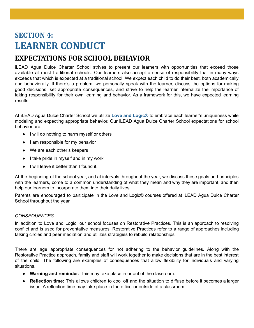# **SECTION 4: LEARNER CONDUCT**

### **EXPECTATIONS FOR SCHOOL BEHAVIOR**

iLEAD Agua Dulce Charter School strives to present our learners with opportunities that exceed those available at most traditional schools. Our learners also accept a sense of responsibility that in many ways exceeds that which is expected at a traditional school. We expect each child to do their best, both academically and behaviorally. If there's a problem, we personally speak with the learner, discuss the options for making good decisions, set appropriate consequences, and strive to help the learner internalize the importance of taking responsibility for their own learning and behavior. As a framework for this, we have expected learning results.

At iLEAD Agua Dulce Charter School we utilize **Love and Logic®** to embrace each learner's uniqueness while modeling and expecting appropriate behavior. Our iLEAD Agua Dulce Charter School expectations for school behavior are:

- I will do nothing to harm myself or others
- I am responsible for my behavior
- We are each other's keepers
- I take pride in myself and in my work
- I will leave it better than I found it.

At the beginning of the school year, and at intervals throughout the year, we discuss these goals and principles with the learners, come to a common understanding of what they mean and why they are important, and then help our learners to incorporate them into their daily lives.

Parents are encouraged to participate in the Love and Logic® courses offered at iLEAD Agua Dulce Charter School throughout the year.

#### *CONSEQUENCES*

In addition to Love and Logic, our school focuses on Restorative Practices. This is an approach to resolving conflict and is used for preventative measures. Restorative Practices refer to a range of approaches including talking circles and peer mediation and utilizes strategies to rebuild relationships.

There are age appropriate consequences for not adhering to the behavior guidelines. Along with the Restorative Practice approach, family and staff will work together to make decisions that are in the best interest of the child. The following are examples of consequences that allow flexibility for individuals and varying situations.

- **Warning and reminder:** This may take place in or out of the classroom.
- **Reflection time:** This allows children to cool off and the situation to diffuse before it becomes a larger issue. A reflection time may take place in the office or outside of a classroom.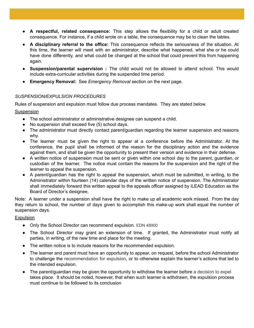- **A respectful, related consequence:** This step allows the flexibility for a child or adult created consequence. For instance, if a child wrote on a table, the consequence may be to clean the tables.
- **A disciplinary referral to the office:** This consequence reflects the seriousness of the situation. At this time, the learner will meet with an administrator, describe what happened, what she or he could have done differently, and what could be changed at the school that could prevent this from happening again.
- **Suspension/parental supervision :** The child would not be allowed to attend school. This would include extra-curricular activities during the suspended time period.
- **Emergency Removal:** See *Emergency Removal* section on the next page.

#### *SUSPENSION/EXPULSION PROCEDURES*

Rules of suspension and expulsion must follow due process mandates. They are stated below.

Suspension

- The school administrator or administrative designee can suspend a child.
- No suspension shall exceed five (5) school days.
- The administrator must directly contact parent/guardian regarding the learner suspension and reasons why.
- The learner must be given the right to appear at a conference before the Administrator. At the conference, the pupil shall be informed of the reason for the disciplinary action and the evidence against them, and shall be given the opportunity to present their version and evidence in their defense.
- A written notice of suspension must be sent or given within one school day to the parent, guardian, or custodian of the learner. The notice must contain the reasons for the suspension and the right of the learner to appeal the suspension.
- A parent/guardian has the right to appeal the suspension, which must be submitted, in writing, to the Administrator within fourteen (14) calendar days of the written notice of suspension. The Administrator shall immediately forward this written appeal to the appeals officer assigned by iLEAD Education as the Board of Director's designee.

Note: A learner under a suspension shall have the right to make up all academic work missed. From the day they return to school, the number of days given to accomplish this make-up work shall equal the number of suspension days.

**Expulsion** 

- Only the School Director can recommend expulsion. EDN 48900
- The School Director may grant an extension of time. If granted, the Administrator must notify all parties, in writing, of the new time and place for the meeting.
- The written notice is to include reasons for the recommended expulsion.
- The learner and parent must have an opportunity to appear, on request, before the school Administrator to challenge the recommendation for expulsion, or to otherwise explain the learner's actions that led to the intended expulsion.
- The parent/guardian may be given the opportunity to withdraw the learner before a decision to expel takes place. It should be noted, however, that when such learner is withdrawn, the expulsion process must continue to be followed to its conclusion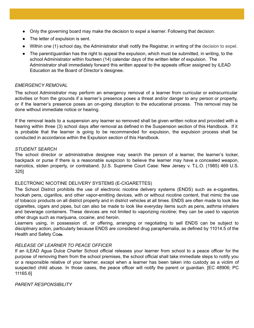- Only the governing board may make the decision to expel a learner. Following that decision:
- The letter of expulsion is sent.
- Within one (1) school day, the Administrator shall notify the Registrar, in writing of the decision to expel.
- The parent/guardian has the right to appeal the expulsion, which must be submitted, in writing, to the school Administrator within fourteen (14) calendar days of the written letter of expulsion. The Administrator shall immediately forward this written appeal to the appeals officer assigned by iLEAD Education as the Board of Director's designee.

#### *EMERGENCY REMOVAL*

The school Administrator may perform an emergency removal of a learner from curricular or extracurricular activities or from the grounds if a learner's presence poses a threat and/or danger to any person or property, or if the learner's presence poses an on-going disruption to the educational process. This removal may be done without immediate notice or hearing.

If the removal leads to a suspension any learner so removed shall be given written notice and provided with a hearing within three (3) school days after removal as defined in the Suspension section of this Handbook. If it is probable that the learner is going to be recommended for expulsion, the expulsion process shall be conducted in accordance within the Expulsion section of this Handbook.

#### *STUDENT SEARCH*

The school director or administrative designee may search the person of a learner, the learner's locker, backpack or purse if there is a reasonable suspicion to believe the learner may have a concealed weapon, narcotics, stolen property, or contraband. [U.S. Supreme Court Case: New Jersey v. T.L.O. (1985) 469 U.S. 325]

#### ELECTRONIC NICOTINE DELIVERY SYSTEMS (E-CIGARETTES)

The School District prohibits the use of electronic nicotine delivery systems (ENDS) such as e-cigarettes, hookah pens, cigarillos, and other vapor-emitting devices, with or without nicotine content, that mimic the use of tobacco products on all district property and in district vehicles at all times. ENDS are often made to look like cigarettes, cigars and pipes, but can also be made to look like everyday items such as pens, asthma inhalers and beverage containers. These devices are not limited to vaporizing nicotine; they can be used to vaporize other drugs such as marijuana, cocaine, and heroin.

Learners using, in possession of, or offering, arranging or negotiating to sell ENDS can be subject to disciplinary action, particularly because ENDS are considered drug paraphernalia, as defined by 11014.5 of the Health and Safety Co**de.**

#### *RELEASE OF LEARNER TO PEACE OFFICER*

If an iLEAD Agua Dulce Charter School official releases your learner from school to a peace officer for the purpose of removing them from the school premises, the school official shall take immediate steps to notify you or a responsible relative of your learner, except when a learner has been taken into custody as a victim of suspected child abuse. In those cases, the peace officer will notify the parent or guardian. [EC 48906; PC 11165.6]

*PARENT RESPONSIBILITY*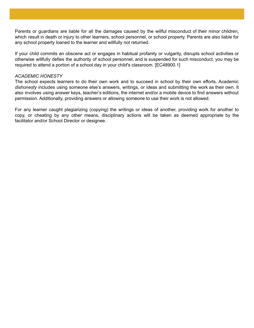Parents or guardians are liable for all the damages caused by the willful misconduct of their minor children, which result in death or injury to other learners, school personnel, or school property. Parents are also liable for any school property loaned to the learner and willfully not returned.

If your child commits an obscene act or engages in habitual profanity or vulgarity, disrupts school activities or otherwise willfully defies the authority of school personnel, and is suspended for such misconduct, you may be required to attend a portion of a school day in your child's classroom. [EC48900.1]

#### *ACADEMIC HONESTY*

The school expects learners to do their own work and to succeed in school by their own efforts. Academic *dishonesty* includes using someone else's answers, writings, or ideas and submitting the work as their own. It also involves using answer keys, teacher's editions, the internet and/or a mobile device to find answers without permission. Additionally, providing answers or allowing someone to use their work is not allowed.

For any learner caught plagiarizing (copying) the writings or ideas of another, providing work for another to copy, or cheating by any other means, disciplinary actions will be taken as deemed appropriate by the facilitator and/or School Director or designee.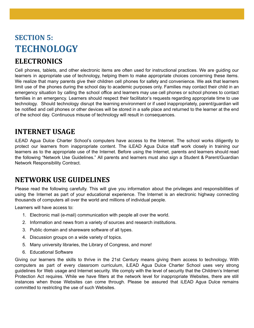# **SECTION 5: TECHNOLOGY**

### **ELECTRONICS**

Cell phones, tablets, and other electronic items are often used for instructional practices. We are guiding our learners in appropriate use of technology, helping them to make appropriate choices concerning these items. We realize that many parents give their children cell phones for safety and convenience. We ask that learners limit use of the phones during the school day to academic purposes only. Families may contact their child in an emergency situation by calling the school office and learners may use cell phones or school phones to contact families in an emergency. Learners should respect their facilitator's requests regarding appropriate time to use technology. Should technology disrupt the learning environment or if used inappropriately, parent/guardian will be notified and cell phones or other devices will be stored in a safe place and returned to the learner at the end of the school day. Continuous misuse of technology will result in consequences.

### **INTERNET USAGE**

iLEAD Agua Dulce Charter School's computers have access to the Internet. The school works diligently to protect our learners from inappropriate content. The iLEAD Agua Dulce staff work closely in training our learners as to the appropriate use of the Internet. Before using the Internet, parents and learners should read the following "Network Use Guidelines." All parents and learners must also sign a Student & Parent/Guardian Network Responsibility Contract.

### **NETWORK USE GUIDELINES**

Please read the following carefully. This will give you information about the privileges and responsibilities of using the Internet as part of your educational experience. The Internet is an electronic highway connecting thousands of computers all over the world and millions of individual people.

Learners will have access to:

- 1. Electronic mail (e-mail) communication with people all over the world.
- 2. Information and news from a variety of sources and research institutions.
- 3. Public domain and shareware software of all types.
- 4. Discussion groups on a wide variety of topics.
- 5. Many university libraries, the Library of Congress, and more!
- 6. Educational Software

Giving our learners the skills to thrive in the 21st Century means giving them access to technology. With computers as part of every classroom curriculum, iLEAD Agua Dulce Charter School uses very strong guidelines for Web usage and Internet security. We comply with the level of security that the Children's Internet Protection Act requires. While we have filters at the network level for inappropriate Websites, there are still instances when those Websites can come through. Please be assured that iLEAD Agua Dulce remains committed to restricting the use of such Websites.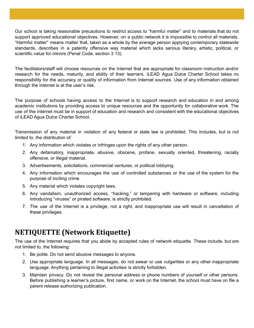Our school is taking reasonable precautions to restrict access to "harmful matter" and to materials that do not support approved educational objectives. However, on a public network it is impossible to control all materials. "Harmful matter" means matter that, taken as a whole by the average person applying contemporary statewide standards, describes in a patently offensive way material which lacks serious literary, artistic, political, or scientific value for minors (Penal Code, section 3 13).

The facilitators/staff will choose resources on the Internet that are appropriate for classroom instruction and/or research for the needs, maturity, and ability of their learners. iLEAD Agua Dulce Charter School takes no responsibility for the accuracy or quality of information from Internet sources. Use of any information obtained through the Internet is at the user's risk.

The purpose of schools having access to the Internet is to support research and education in and among academic institutions by providing access to unique resources and the opportunity for collaborative work. The use of the internet must be in support of education and research and consistent with the educational objectives of iLEAD Agua Dulce Charter School.

Transmission of any material in violation of any federal or state law is prohibited. This includes, but is not limited to, the distribution of:

- 1. Any information which violates or infringes upon the rights of any other person.
- 2. Any defamatory, inappropriate, abusive, obscene, profane, sexually oriented, threatening, racially offensive, or illegal material.
- 3. Advertisements, solicitations, commercial ventures, or political lobbying.
- 4. Any information which encourages the use of controlled substances or the use of the system for the purpose of inciting crime.
- 5. Any material which violates copyright laws.
- 6. Any vandalism, unauthorized access, "hacking," or tampering with hardware or software, including introducing "viruses" or pirated software, is strictly prohibited.
- 7. The use of the Internet is a privilege, not a right, and inappropriate use will result in cancellation of these privileges.

### **NETIQUETTE (Network Etiquette)**

The use of the Internet requires that you abide by accepted rules of network etiquette. These include, but are not limited to, the following:

- 1. Be polite. Do not send abusive messages to anyone.
- 2. Use appropriate language. In all messages, do not swear or use vulgarities or any other inappropriate language. Anything pertaining to illegal activities is strictly forbidden.
- 3. Maintain privacy. Do not reveal the personal address or phone numbers of yourself or other persons. Before publishing a learner's picture, first name, or work on the Internet, the school must have on file a parent release authorizing publication.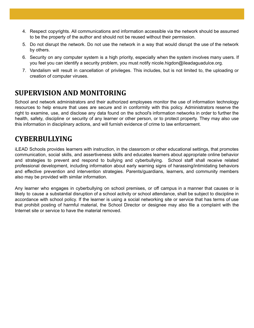- 4. Respect copyrights. All communications and information accessible via the network should be assumed to be the property of the author and should not be reused without their permission.
- 5. Do not disrupt the network. Do not use the network in a way that would disrupt the use of the network by others.
- 6. Security on any computer system is a high priority, especially when the system involves many users. If you feel you can identify a security problem, you must notify nicole.higdon@ileadaguadulce.org.
- 7. Vandalism will result in cancellation of privileges. This includes, but is not limited to, the uploading or creation of computer viruses.

### **SUPERVISION AND MONITORING**

School and network administrators and their authorized employees monitor the use of information technology resources to help ensure that uses are secure and in conformity with this policy. Administrators reserve the right to examine, use, and disclose any data found on the school's information networks in order to further the health, safety, discipline or security of any learner or other person, or to protect property. They may also use this information in disciplinary actions, and will furnish evidence of crime to law enforcement.

### **CYBERBULLYING**

iLEAD Schools provides learners with instruction, in the classroom or other educational settings, that promotes communication, social skills, and assertiveness skills and educates learners about appropriate online behavior and strategies to prevent and respond to bullying and cyberbullying. School staff shall receive related professional development, including information about early warning signs of harassing/intimidating behaviors and effective prevention and intervention strategies. Parents/guardians, learners, and community members also may be provided with similar information.

Any learner who engages in cyberbullying on school premises, or off campus in a manner that causes or is likely to cause a substantial disruption of a school activity or school attendance, shall be subject to discipline in accordance with school policy. If the learner is using a social networking site or service that has terms of use that prohibit posting of harmful material, the School Director or designee may also file a complaint with the Internet site or service to have the material removed.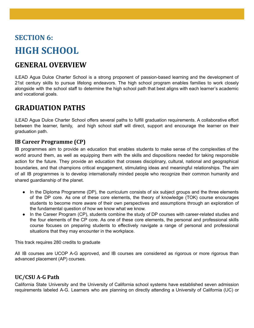# **SECTION 6: HIGH SCHOOL**

### **GENERAL OVERVIEW**

iLEAD Agua Dulce Charter School is a strong proponent of passion-based learning and the development of 21st century skills to pursue lifelong endeavors. The high school program enables families to work closely alongside with the school staff to determine the high school path that best aligns with each learner's academic and vocational goals.

### **GRADUATION PATHS**

iLEAD Agua Dulce Charter School offers several paths to fulfill graduation requirements. A collaborative effort between the learner, family, and high school staff will direct, support and encourage the learner on their graduation path.

#### **IB Career Programme (CP)**

IB programmes aim to provide an education that enables students to make sense of the complexities of the world around them, as well as equipping them with the skills and dispositions needed for taking responsible action for the future. They provide an education that crosses disciplinary, cultural, national and geographical boundaries, and that champions critical engagement, stimulating ideas and meaningful relationships. The aim of all IB programmes is to develop internationally minded people who recognize their common humanity and shared guardianship of the planet.

- In the Diploma Programme (DP), the curriculum consists of six subject groups and the three elements of the DP core. As one of these core elements, the theory of knowledge (TOK) course encourages students to become more aware of their own perspectives and assumptions through an exploration of the fundamental question of how we know what we know.
- In the Career Program (CP), students combine the study of DP courses with career-related studies and the four elements of the CP core. As one of these core elements, the personal and professional skills course focuses on preparing students to effectively navigate a range of personal and professional situations that they may encounter in the workplace.

This track requires 280 credits to graduate

All IB courses are UCOP A-G approved, and IB courses are considered as rigorous or more rigorous than advanced placement (AP) courses.

#### **UC/CSU A-G Path**

California State University and the University of California school systems have established seven admission requirements labeled A-G. Learners who are planning on directly attending a University of California (UC) or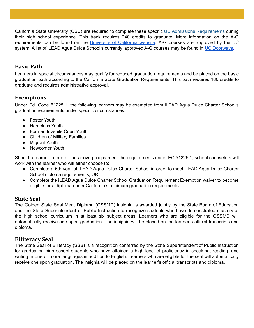California State University (CSU) are required to complete these specific UC Admissions [Requirements](http://admission.universityofcalifornia.edu/freshman/) during their high school experience. This track requires 240 credits to graduate. More information on the A-G requirements can be found on the [University](https://www.ucop.edu/agguide/a-g-requirements/index.html) of California website. A-G courses are approved by the UC system. A list of iLEAD Agua Dulce School's currently approved A-G courses may be found in UC [Doorways.](https://hs-articulation.ucop.edu/agcourselist#/list/details/4810/)

#### **Basic Path**

Learners in special circumstances may qualify for reduced graduation requirements and be placed on the basic graduation path according to the California State Graduation Requirements. This path requires 180 credits to graduate and requires administrative approval.

#### **Exemptions**

Under Ed. Code 51225.1, the following learners may be exempted from iLEAD Agua Dulce Charter School's graduation requirements under specific circumstances:

- Foster Youth
- Homeless Youth
- Former Juvenile Court Youth
- Children of Military Families
- Migrant Youth
- Newcomer Youth

Should a learner in one of the above groups meet the requirements under EC 51225.1, school counselors will work with the learner who will either choose to:

- Complete a 5th year at iLEAD Agua Dulce Charter School in order to meet iLEAD Agua Dulce Charter School diploma requirements, OR
- Complete the iLEAD Agua Dulce Charter School Graduation Requirement Exemption waiver to become eligible for a diploma under California's minimum graduation requirements.

#### **State Seal**

The Golden State Seal Merit Diploma (GSSMD) insignia is awarded jointly by the State Board of Education and the State Superintendent of Public Instruction to recognize students who have demonstrated mastery of the high school curriculum in at least six subject areas. Learners who are eligible for the GSSMD will automatically receive one upon graduation. The insignia will be placed on the learner's official transcripts and diploma.

#### **Biliteracy Seal**

The State Seal of Biliteracy (SSB) is a recognition conferred by the State Superintendent of Public Instruction for graduating high school students who have attained a high level of proficiency in speaking, reading, and writing in one or more languages in addition to English. Learners who are eligible for the seal will automatically receive one upon graduation. The insignia will be placed on the learner's official transcripts and diploma.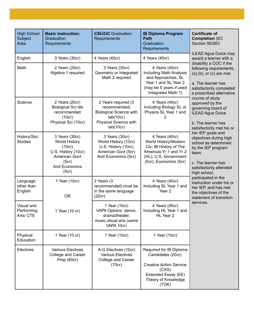| <b>High School</b><br>Subject<br>Area | <b>Basic Instruction:</b><br>Graduation<br>Requirements                                                              | <b>CSU/UC</b> Graduation<br>Requirements                                                                                 | <b>IB Diploma Program</b><br><b>Path</b><br>Graduation<br>Requirements                                                                          | <b>Certificate of</b><br><b>Completion (EC</b><br>Section 56390)<br>iLEAD Agua Dulce may                                                                                                                                                                                                           |
|---------------------------------------|----------------------------------------------------------------------------------------------------------------------|--------------------------------------------------------------------------------------------------------------------------|-------------------------------------------------------------------------------------------------------------------------------------------------|----------------------------------------------------------------------------------------------------------------------------------------------------------------------------------------------------------------------------------------------------------------------------------------------------|
| English                               | 3 Years (30cr)                                                                                                       | 4 Years (40cr)                                                                                                           | 4 Years (40cr)                                                                                                                                  | award a learner with a<br>disability a COC if the<br>following requirements,<br>$(a), (b),$ or $(c)$ are met.<br>a. The learner has<br>satisfactorily completed<br>a prescribed alternative                                                                                                        |
| Math                                  | 2 Years (20cr)<br>Algebra 1 required                                                                                 | 3 Years (30cr)<br>Geometry or Integrated<br>Math 2 required                                                              | 4 Years (40cr)<br><b>Including Math Analysis</b><br>and Approaches, SL<br>Year 1 and SL Year 2<br>(may be 5 years if used<br>Integrated Math 1) |                                                                                                                                                                                                                                                                                                    |
| Science                               | 2 Years (20cr)<br>Biological Sci lab<br>recommended<br>(10cr)<br>Physical Sci (10cr)                                 | 2 Years required (3<br>recommended)<br><b>Biological Science with</b><br>lab(10cr)<br>Physical Science with<br>lab(10cr) | 4 Years (40cr)<br>Including Biology SL or<br>Physics SL Year 1 and<br>2                                                                         | course of study<br>approved by the<br>governing board of<br><b>iLEAD Agua Dulce</b><br>b. The learner has<br>satisfactorily met his or                                                                                                                                                             |
| History/Soc<br><b>Studies</b>         | 3 Years (30cr)<br>World History<br>(10cr)<br>U.S. History (10cr)<br>American Govt<br>(5cr)<br>And Economics<br>(5cr) | 3 Years (30cr)<br>World History (10cr)<br>U.S. History (10cr)<br>American Govt (5cr)<br>And Economics (5cr)              | 4 Years (40cr)<br>World History/Modern<br>Civ; IB History of The<br>Americas Yr 1 and Yr 2<br>(HL); U.S. Government<br>(5cr); Economics (5cr)   | her IEP goals and<br>objectives during high<br>school as determined<br>by the IEP program<br>team.<br>c. The learner has<br>satisfactorily attended<br>high school,<br>participated in the<br>instruction under his or<br>her IEP, and has met<br>the objectives of the<br>statement of transition |
| Language<br>other than<br>English     | 1 Year (10cr)<br><b>OR</b>                                                                                           | 2 Years (3<br>recommended) must be<br>in the same language<br>(20cr)                                                     | 4 Years (40cr)<br>Including SL Year 1 and<br>Year <sub>2</sub>                                                                                  |                                                                                                                                                                                                                                                                                                    |
| Visual and<br>Performing<br>Arts/ CTE | 1 Year (10 cr)                                                                                                       | 1 Year (10cr)<br>VAPA Options: dance,<br>drama/theater,<br>music, visual arts (same<br>VAPA 10cr)                        | 4 Years (40cr)<br>Including HL Year 1 and<br>HL Year 2                                                                                          | services.                                                                                                                                                                                                                                                                                          |
| Physical<br>Education                 | 1 Year (10 cr)                                                                                                       | 1 Year (10cr)                                                                                                            | 1 Year (10cr)                                                                                                                                   |                                                                                                                                                                                                                                                                                                    |
| Electives                             | <b>Various Electives</b><br>College and Career<br>Prep (60cr)                                                        | A-G Electives (10cr)<br><b>Various Electives</b><br>College and Career<br>(70cr)                                         | Required for IB Diploma<br>Candidates (20cr):<br><b>Creative Action Service</b><br>(CAS)<br>Extended Essay (EE)<br>Theory of Knowledge<br>(TOK) |                                                                                                                                                                                                                                                                                                    |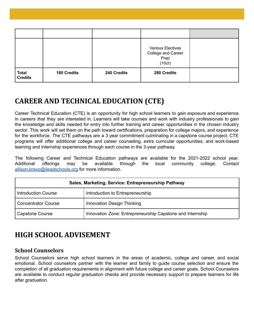|                                |                    |             | Various Electives<br>College and Career<br>Prep<br>(10cr) |  |
|--------------------------------|--------------------|-------------|-----------------------------------------------------------|--|
| <b>Total</b><br><b>Credits</b> | <b>180 Credits</b> | 240 Credits | 280 Credits                                               |  |

### **CAREER AND TECHNICAL EDUCATION (CTE)**

Career Technical Education (CTE) is an opportunity for high school learners to gain exposure and experience in careers that they are interested in. Learners will take courses and work with industry professionals to gain the knowledge and skills needed for entry into further training and career opportunities in the chosen industry sector. This work will set them on the path toward certifications, preparation for college majors, and experience for the workforce. The CTE pathways are a 3 year commitment culminating in a capstone course project. CTE programs will offer additional college and career counseling, extra curricular opportunities, and work-based learning and internship experiences through each course in the 3-year pathway.

The following Career and Technical Education pathways are available for the 2021-2022 school year. Additional offerings may be available through the local community college. Contact [allison.bravo@ileadschools.org](mailto:allison.bravo@ileadschools.org) for more information.

| Sales, Marketing, Service: Entrepreneurship Pathway |                                                           |  |  |
|-----------------------------------------------------|-----------------------------------------------------------|--|--|
| <b>Introduction Course</b>                          | Introduction to Entrepreneurship                          |  |  |
| <b>Concentrator Course</b>                          | Innovation Design Thinking                                |  |  |
| Capstone Course                                     | Innovation Zone: Entrepreneurship Capstone and Internship |  |  |

### **HIGH SCHOOL ADVISEMENT**

#### **School Counselors**

School Counselors serve high school learners in the areas of academic, college and career, and social emotional. School counselors partner with the learner and family to guide course selection and ensure the completion of all graduation requirements in alignment with future college and career goals. School Counselors are available to conduct regular graduation checks and provide necessary support to prepare learners for life after graduation.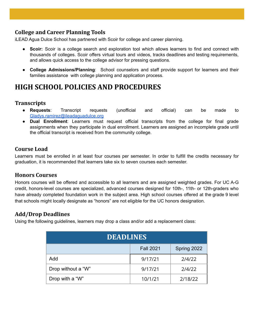#### **College and Career Planning Tools**

iLEAD Agua Dulce School has partnered with Scoir for college and career planning.

- **Scoir:** Scoir is a college search and exploration tool which allows learners to find and connect with thousands of colleges. Scoir offers virtual tours and videos, tracks deadlines and testing requirements, and allows quick access to the college advisor for pressing questions.
- **College Admissions/Planning**: School counselors and staff provide support for learners and their families assistance with college planning and application process.

### **HIGH SCHOOL POLICIES AND PROCEDURES**

#### **Transcripts**

- **Requests**: [Transcript](https://ileadexploration.org/programs/high-school/transcript-requests/) requests (unofficial and official) can be made to [Gladys.ramirez@ileadaguadulce.org](mailto:Gladys.ramirez@ileadaguadulce.org)
- **Dual Enrollment**: Learners must request official transcripts from the college for final grade assignments when they participate in dual enrollment. Learners are assigned an incomplete grade until the official transcript is received from the community college.

#### **Course Load**

Learners must be enrolled in at least four courses per semester. In order to fulfill the credits necessary for graduation, it is recommended that learners take six to seven courses each semester.

#### **Honors Courses**

Honors courses will be offered and accessible to all learners and are assigned weighted grades. For UC A-G credit, honors-level courses are specialized, advanced courses designed for 10th-, 11th- or 12th-graders who have already completed foundation work in the subject area. High school courses offered at the grade 9 level that schools might locally designate as "honors" are not eligible for the UC honors designation.

#### **Add/Drop Deadlines**

Using the following guidelines, learners may drop a class and/or add a replacement class:

| <b>DEADLINES</b>   |                  |             |  |
|--------------------|------------------|-------------|--|
|                    | <b>Fall 2021</b> | Spring 2022 |  |
| Add                | 9/17/21          | 2/4/22      |  |
| Drop without a "W" | 9/17/21          | 2/4/22      |  |
| Drop with a "W"    | 10/1/21          | 2/18/22     |  |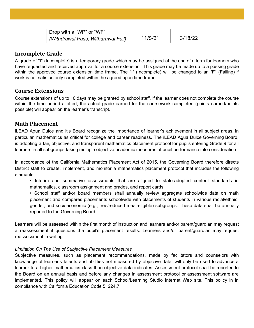| Drop with a "WP" or "WF"           |         |         |
|------------------------------------|---------|---------|
| (Withdrawal Pass, Withdrawal Fail) | 11/5/21 | 3/18/22 |

#### **Incomplete Grade**

A grade of "I" (Incomplete) is a temporary grade which may be assigned at the end of a term for learners who have requested and received approval for a course extension. This grade may be made up to a passing grade within the approved course extension time frame. The "I" (Incomplete) will be changed to an "F" (Failing) if work is not satisfactorily completed within the agreed upon time frame.

#### **Course Extensions**

Course extensions of up to 10 days may be granted by school staff. If the learner does not complete the course within the time period allotted, the actual grade earned for the coursework completed (points earned/points possible) will appear on the learner's transcript.

#### **Math Placement**

iLEAD Agua Dulce and it's Board recognize the importance of learner's achievement in all subject areas, in particular, mathematics as critical for college and career readiness. The iLEAD Agua Dulce Governing Board, is adopting a fair, objective, and transparent mathematics placement protocol for pupils entering Grade 9 for all learners in all subgroups taking multiple objective academic measures of pupil performance into consideration.

In accordance of the California Mathematics Placement Act of 2015, the Governing Board therefore directs District staff to create, implement, and monitor a mathematics placement protocol that includes the following elements:

• Interim and summative assessments that are aligned to state-adopted content standards in mathematics, classroom assignment and grades, and report cards.

• School staff and/or board members shall annually review aggregate schoolwide data on math placement and compares placements schoolwide with placements of students in various racial/ethnic, gender, and socioeconomic (e.g., free/reduced meal-eligible) subgroups. These data shall be annually reported to the Governing Board.

Learners will be assessed within the first month of instruction and learners and/or parent/guardian may request a reassessment if questions the pupil's placement results. Learners and/or parent/guardian may request reassessment in writing.

#### *Limitation On The Use of Subjective Placement Measures*

Subjective measures, such as placement recommendations, made by facilitators and counselors with knowledge of learner's talents and abilities not measured by objective data, will only be used to advance a learner to a higher mathematics class than objective data indicates. Assessment protocol shall be reported to the Board on an annual basis and before any changes in assessment protocol or assessment software are implemented. This policy will appear on each School/Learning Studio Internet Web site. This policy in in compliance with California Education Code 51224.7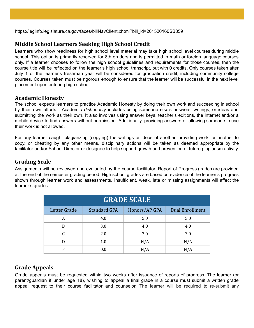https://leginfo.legislature.ca.gov/faces/billNavClient.xhtml?bill\_id=201520160SB359

#### **Middle School Learners Seeking High School Credit**

Learners who show readiness for high school level material may take high school level courses during middle school. This option is primarily reserved for 8th graders and is permitted in math or foreign language courses only. If a learner chooses to follow the high school guidelines and requirements for those courses, then the course title will be reflected on the learner's high school transcript, but with 0 credits. Only courses taken after July 1 of the learner's freshman year will be considered for graduation credit, including community college courses. Courses taken must be rigorous enough to ensure that the learner will be successful in the next level placement upon entering high school.

#### **Academic Honesty**

The school expects learners to practice Academic Honesty by doing their own work and succeeding in school by their own efforts. Academic *dishonesty* includes using someone else's answers, writings, or ideas and submitting the work as their own. It also involves using answer keys, teacher's editions, the internet and/or a mobile device to find answers without permission. Additionally, providing answers or allowing someone to use their work is not allowed.

For any learner caught plagiarizing (copying) the writings or ideas of another, providing work for another to copy, or cheating by any other means, disciplinary actions will be taken as deemed appropriate by the facilitator and/or School Director or designee to help support growth and prevention of future plagiarism activity.

#### **Grading Scale**

Assignments will be reviewed and evaluated by the course facilitator. Report of Progress grades are provided at the end of the semester grading period. High school grades are based on evidence of the learner's progress shown through learner work and assessments. Insufficient, weak, late or missing assignments will affect the learner's grades.

| <b>GRADE SCALE</b> |                     |               |                        |  |
|--------------------|---------------------|---------------|------------------------|--|
| Letter Grade       | <b>Standard GPA</b> | Honors/AP GPA | <b>Dual Enrollment</b> |  |
| А                  | 4.0                 | 5.0           | 5.0                    |  |
| B                  | 3.0                 | 4.0           | 4.0                    |  |
|                    | 2.0                 | 3.0           | 3.0                    |  |
|                    | 1.0                 | N/A           | N/A                    |  |
| F                  | 0.0                 | N/A           | N/A                    |  |

#### **Grade Appeals**

Grade appeals must be requested within two weeks after issuance of reports of progress. The learner (or parent/guardian if under age 18), wishing to appeal a final grade in a course must submit a written grade appeal request to their course facilitator and counselor. The learner will be required to re-submit any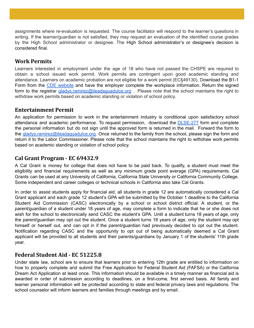assignments where re-evaluation is requested. The course facilitator will respond to the learner's questions in writing. If the learner/guardian is not satisfied, they may request an evaluation of the identified course grades by the High School administrator or designee. The High School administrator's or designee's decision is considered final.

#### **Work Permits**

Learners interested in employment under the age of 18 who have not passed the CHSPE are required to obtain a school issued work permit. Work permits are contingent upon good academic standing and attendance. Learners on academic probation are not eligible for a work permit (EC§49130). Download the B1-1 Form from the CDE [website](https://www.cde.ca.gov/ci/ct/we/workpermitsforstudents.asp) and have the employer complete the workplace information. Return the signed form to the registrar *[gladys.ramirez@ileadaguadulce.org](mailto:gladys.ramirez@ileadaguadulce.org)* . Please note that the school maintains the right to withdraw work permits based on academic standing or violation of school policy.

#### **Entertainment Permit**

An application for permission to work in the entertainment industry is conditional upon satisfactory school attendance and academic performance. To request permission, download the **[DLSE-277](https://www.dir.ca.gov/dlse/DLSEForm277.pdf)** form and complete the personal information but do not sign until the approved form is returned in the mail. Forward the form to the [gladys.ramirez@ileadaguadulce.org.](mailto:gladys.ramirez@ileadaguadulce.org) Once returned to the family from the school, please sign the form and return it to the Labor Commissioner. Please note that the school maintains the right to withdraw work permits based on academic standing or violation of school policy.

#### **Cal Grant Program - EC 69432.9**

A Cal Grant is money for college that does not have to be paid back. To qualify, a student must meet the eligibility and financial requirements as well as any minimum grade point average (GPA) requirements. Cal Grants can be used at any University of California, California State University or California Community College. Some independent and career colleges or technical schools in California also take Cal Grants.

In order to assist students apply for financial aid, all students in grade 12 are automatically considered a Cal Grant applicant and each grade 12 student's GPA will be submitted by the October 1 deadline to the California Student Aid Commission (CASC) electronically by a school or school district official. A student, or the parent/guardian of a student under 18 years of age, may complete a form to indicate that he or she does not wish for the school to electronically send CASC the student's GPA. Until a student turns 18 years of age, only the parent/guardian may opt out the student. Once a student turns 18 years of age, only the student may opt himself or herself out, and can opt in if the parent/guardian had previously decided to opt out the student. Notification regarding CASC and the opportunity to opt out of being automatically deemed a Cal Grant applicant will be provided to all students and their parents/guardians by January 1 of the students' 11th grade year.

#### **Federal Student Aid - EC 51225.8**

Under state law, school are to ensure that learners prior to entering 12th grade are entitled to information on how to properly complete and submit the Free Application for Federal Student Aid (FAFSA) or the California Dream Act Application at least once. This information should be available in a timely manner as financial aid is awarded in order of submission according to deadlines, on a first-come, first served basis. All family and learner personal information will be protected according to state and federal privacy laws and regulations. The school counselor will inform learners and families through meetings and by email.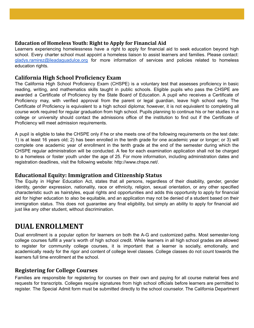#### **Education of Homeless Youth: Right to Apply for Financial Aid**

Learners experiencing homelessness have a right to apply for financial aid to seek education beyond high school. Every charter school must appoint a homeless liaison to assist learners and families. Please contact: [gladys.ramirez@ileadaguadulce.org](mailto:gladys.ramirez@ileadaguadulce.org) for more information of services and policies related to homeless education rights.

#### **California High School Proficiency Exam**

The California High School Proficiency Exam (CHSPE) is a voluntary test that assesses proficiency in basic reading, writing, and mathematics skills taught in public schools. Eligible pupils who pass the CHSPE are awarded a Certificate of Proficiency by the State Board of Education. A pupil who receives a Certificate of Proficiency may, with verified approval from the parent or legal guardian, leave high school early. The Certificate of Proficiency is equivalent to a high school diploma; however, it is not equivalent to completing all course work required for regular graduation from high school. Pupils planning to continue his or her studies in a college or university should contact the admissions office of the institution to find out if the Certificate of Proficiency will meet admission requirements.

A pupil is eligible to take the CHSPE only if he or she meets one of the following requirements on the test date: 1) is at least 16 years old; 2) has been enrolled in the tenth grade for one academic year or longer; or 3) will complete one academic year of enrollment in the tenth grade at the end of the semester during which the CHSPE regular administration will be conducted. A fee for each examination application shall not be charged to a homeless or foster youth under the age of 25. For more information, including administration dates and registration deadlines, visit the following website: http://www.chspe.net/.

#### **Educational Equity: Immigration and Citizenship Status**

The Equity in Higher Education Act, states that all persons, regardless of their disability, gender, gender identity, gender expression, nationality, race or ethnicity, religion, sexual orientation, or any other specified characteristic such as hairstyles, equal rights and opportunities and adds this opportunity to apply for financial aid for higher education to also be equitable, and an application may not be denied of a student based on their immigration status. This does not guarantee any final eligibility, but simply an ability to apply for financial aid just like any other student, without discrimination.

### **DUAL ENROLLMENT**

Dual enrollment is a popular option for learners on both the A-G and customized paths. Most semester-long college courses fulfill a year's worth of high school credit. While learners in all high school grades are allowed to register for community college courses, it is important that a learner is socially, emotionally, and academically ready for the rigor and content of college level classes. College classes do not count towards the learners full time enrollment at the school.

#### **Registering for College Courses**

Families are responsible for registering for courses on their own and paying for all course material fees and requests for transcripts. Colleges require signatures from high school officials before learners are permitted to register. The Special Admit form must be submitted directly to the school counselor. The California Department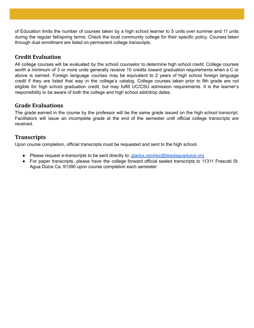of Education limits the number of courses taken by a high school learner to 5 units over summer and 11 units during the regular fall/spring terms. Check the local community college for their specific policy. Courses taken through dual enrollment are listed on permanent college transcripts.

#### **Credit Evaluation**

All college courses will be evaluated by the school counselor to determine high school credit. College courses worth a minimum of 3 or more units generally receive 10 credits toward graduation requirements when a C or above is earned. Foreign language courses may be equivalent to 2 years of high school foreign language credit if they are listed that way in the college's catalog. College courses taken prior to 9th grade are not eligible for high school graduation credit, but may fulfill UC/CSU admission requirements. It is the learner's responsibility to be aware of both the college and high school add/drop dates.

#### **Grade Evaluations**

The grade earned in the course by the professor will be the same grade issued on the high school transcript. Facilitators will issue an incomplete grade at the end of the semester until official college transcripts are received.

#### **Transcripts**

Upon course completion, official transcripts must be requested and sent to the high school.

- Please request e-transcripts to be sent directly to: [gladys.ramirez@ileadaguadulce.org](mailto:gladys.ramirez@ileadaguadulce.org)
- For paper transcripts, please have the college forward official sealed transcripts to 11311 Frascati St. Agua Dulce Ca. 91390 upon course completion each semester: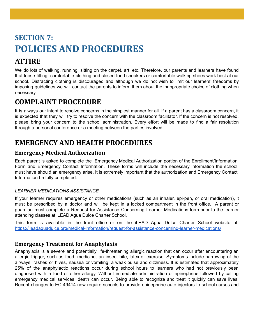# **SECTION 7: POLICIES AND PROCEDURES ATTIRE**

We do lots of walking, running, sitting on the carpet, art, etc. Therefore, our parents and learners have found that loose-fitting, comfortable clothing and closed-toed sneakers or comfortable walking shoes work best at our school. Distracting clothing is discouraged and although we do not wish to limit our learners' freedoms by imposing guidelines we will contact the parents to inform them about the inappropriate choice of clothing when necessary.

### **COMPLAINT PROCEDURE**

It is always our intent to resolve concerns in the simplest manner for all. If a parent has a classroom concern, it is expected that they will try to resolve the concern with the classroom facilitator. If the concern is not resolved, please bring your concern to the school administration. Every effort will be made to find a fair resolution through a personal conference or a meeting between the parties involved.

### **EMERGENCY AND HEALTH PROCEDURES**

#### **Emergency Medical Authorization**

Each parent is asked to complete the Emergency Medical Authorization portion of the Enrollment/Information Form and Emergency Contact Information. These forms will include the necessary information the school must have should an emergency arise. It is extremely important that the authorization and Emergency Contact Information be fully completed.

#### *LEARNER MEDICATIONS ASSISTANCE*

If your learner requires emergency or other medications (such as an inhaler, epi-pen, or oral medication), it must be prescribed by a doctor and will be kept in a locked compartment in the front office. A parent or guardian must complete a Request for Assistance Concerning Learner Medications form prior to the learner attending classes at iLEAD Agua Dulce Charter School.

This form is available in the front office or on the iLEAD Agua Dulce Charter School website at: <https://ileadaguadulce.org/medical-information/request-for-assistance-concerning-learner-medications/>

#### **Emergency Treatment for Anaphylaxis**

Anaphylaxis is a severe and potentially life-threatening allergic reaction that can occur after encountering an allergic trigger, such as food, medicine, an insect bite, latex or exercise. Symptoms include narrowing of the airways, rashes or hives, nausea or vomiting, a weak pulse and dizziness. It is estimated that approximately 25% of the anaphylactic reactions occur during school hours to learners who had not previously been diagnosed with a food or other allergy. Without immediate administration of epinephrine followed by calling emergency medical services, death can occur. Being able to recognize and treat it quickly can save lives. Recent changes to EC 49414 now require schools to provide epinephrine auto-injectors to school nurses and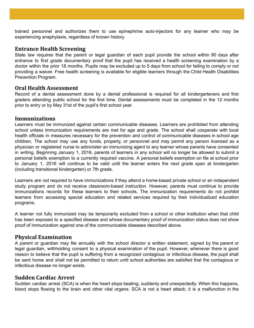trained personnel and authorizes them to use epinephrine auto-injectors for any learner who may be experiencing anaphylaxis, regardless of known history.

#### **Entrance Health Screening**

State law requires that the parent or legal guardian of each pupil provide the school within 90 days after entrance to first grade documentary proof that the pupil has received a health screening examination by a doctor within the prior 18 months. Pupils may be excluded up to 5 days from school for failing to comply or not providing a waiver. Free health screening is available for eligible learners through the Child Health Disabilities Prevention Program.

#### **Oral Health Assessment**

Record of a dental assessment done by a dental professional is required for all kindergarteners and first graders attending public school for the first time. Dental assessments must be completed in the 12 months prior to entry or by May 31st of the pupil's first school year.

#### **Immunizations**

Learners must be immunized against certain communicable diseases. Learners are prohibited from attending school unless immunization requirements are met for age and grade. The school shall cooperate with local health officials in measures necessary for the prevention and control of communicable diseases in school age children. The school may use any funds, property, or personnel and may permit any person licensed as a physician or registered nurse to administer an immunizing agent to any learner whose parents have consented in writing. Beginning January 1, 2016, parents of learners in any school will no longer be allowed to submit a personal beliefs exemption to a currently required vaccine. A personal beliefs exemption on file at school prior to January 1, 2016 will continue to be valid until the learner enters the next grade span at kindergarten (including transitional kindergarten) or 7th grade.

Learners are not required to have immunizations if they attend a home-based private school or an independent study program and do not receive classroom-based instruction. However, parents must continue to provide immunizations records for these learners to their schools. The immunization requirements do not prohibit learners from accessing special education and related services required by their individualized education programs.

A learner not fully immunized may be temporarily excluded from a school or other institution when that child has been exposed to a specified disease and whose documentary proof of immunization status does not show proof of immunization against one of the communicable diseases described above.

#### **Physical Examination**

A parent or guardian may file annually with the school director a written statement, signed by the parent or legal guardian, withholding consent to a physical examination of the pupil. However, whenever there is good reason to believe that the pupil is suffering from a recognized contagious or infectious disease, the pupil shall be sent home and shall not be permitted to return until school authorities are satisfied that the contagious or infectious disease no longer exists.

#### **Sudden Cardiac Arrest**

Sudden cardiac arrest (SCA) is when the heart stops beating, suddenly and unexpectedly. When this happens, blood stops flowing to the brain and other vital organs. SCA is not a heart attack; it is a malfunction in the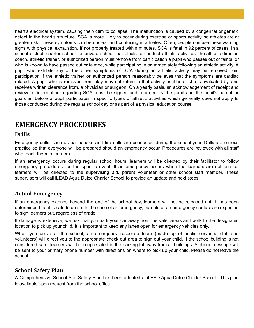heart's electrical system, causing the victim to collapse. The malfunction is caused by a congenital or genetic defect in the heart's structure. SCA is more likely to occur during exercise or sports activity, so athletes are at greater risk. These symptoms can be unclear and confusing in athletes. Often, people confuse these warning signs with physical exhaustion. If not properly treated within minutes, SCA is fatal in 92 percent of cases. In a school district, charter school, or private school that elects to conduct athletic activities, the athletic director, coach, athletic trainer, or authorized person must remove from participation a pupil who passes out or faints, or who is known to have passed out or fainted, while participating in or immediately following an athletic activity. A pupil who exhibits any of the other symptoms of SCA during an athletic activity may be removed from participation if the athletic trainer or authorized person reasonably believes that the symptoms are cardiac related. A pupil who is removed from play may not return to that activity until he or she is evaluated by, and receives written clearance from, a physician or surgeon. On a yearly basis, an acknowledgement of receipt and review of information regarding SCA must be signed and returned by the pupil and the pupil's parent or guardian before a pupil participates in specific types of athletic activities which generally does not apply to those conducted during the regular school day or as part of a physical education course.

### **EMERGENCY PROCEDURES**

#### **Drills**

Emergency drills, such as earthquake and fire drills are conducted during the school year. Drills are serious practice so that everyone will be prepared should an emergency occur. Procedures are reviewed with all staff who teach them to learners.

If an emergency occurs during regular school hours, learners will be directed by their facilitator to follow emergency procedures for the specific event. If an emergency occurs when the learners are not on-site, learners will be directed to the supervising aid, parent volunteer or other school staff member. These supervisors will call iLEAD Agua Dulce Charter School to provide an update and next steps.

#### **Actual Emergency**

If an emergency extends beyond the end of the school day, learners will not be released until it has been determined that it is safe to do so. In the case of an emergency, parents or an emergency contact are expected to sign learners out, regardless of grade.

If damage is extensive, we ask that you park your car away from the valet areas and walk to the designated location to pick up your child. It is important to keep any lanes open for emergency vehicles only.

When you arrive at the school, an emergency response team (made up of public servants, staff and volunteers) will direct you to the appropriate check out area to sign out your child. If the school building is not considered safe, learners will be congregated in the parking lot away from all buildings. A phone message will be sent to your primary phone number with directions on where to pick up your child. Please do not leave the school.

#### **School Safety Plan**

A Comprehensive School Site Safety Plan has been adopted at iLEAD Agua Dulce Charter School. This plan is available upon request from the school office.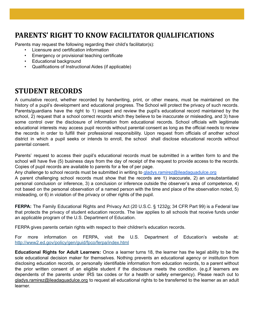### **PARENTS' RIGHT TO KNOW FACILITATOR QUALIFICATIONS**

Parents may request the following regarding their child's facilitator(s):

- Licensure and certification information
- Emergency or provisional teaching certificate
- Educational background
- Qualifications of Instructional Aides (if applicable)

### **STUDENT RECORDS**

A cumulative record, whether recorded by handwriting, print, or other means, must be maintained on the history of a pupil's development and educational progress. The School will protect the privacy of such records. Parents/guardians have the right to 1) inspect and review the pupil's educational record maintained by the school, 2) request that a school correct records which they believe to be inaccurate or misleading, and 3) have some control over the disclosure of information from educational records. School officials with legitimate educational interests may access pupil records without parental consent as long as the official needs to review the records in order to fulfill their professional responsibility. Upon request from officials of another school district in which a pupil seeks or intends to enroll, the school shall disclose educational records without parental consent.

Parents' request to access their pupil's educational records must be submitted in a written form to and the school will have five (5) business days from the day of receipt of the request to provide access to the records. Copies of pupil records are available to parents for a fee of per page.

Any challenge to school records must be submitted in writing to [gladys.ramirez@ileadaguadulce.org](mailto:gladys.ramirez@ileadaguadulce.org)

A parent challenging school records must show that the records are 1) inaccurate, 2) an unsubstantiated personal conclusion or inference, 3) a conclusion or inference outside the observer's area of competence, 4) not based on the personal observation of a named person with the time and place of the observation noted, 5) misleading, or 6) in violation of the privacy or other rights of the pupil.

**FERPA:** The Family Educational Rights and Privacy Act (20 U.S.C. § 1232g; 34 CFR Part 99) is a Federal law that protects the privacy of student education records. The law applies to all schools that receive funds under an applicable program of the U.S. Department of Education.

FERPA gives parents certain rights with respect to their children's education records.

For more information on FERPA, visit the U.S. Department of Education's website at: <http://www2.ed.gov/policy/gen/guid/fpco/ferpa/index.html>

**Educational Rights for Adult Learners:** Once a learner turns 18, the learner has the legal ability to be the sole educational decision maker for themselves. Nothing prevents an educational agency or institution from disclosing education records, or personally identifiable information from education records, to a parent without the prior written consent of an eligible student if the disclosure meets the condition. (e.g.if learners are dependents of the parents under IRS tax codes or for a health or safety emergency). Please reach out to [gladys.ramirez@ileadaguadulce.org](mailto:gladys.ramirez@ileadaguadulce.org) to request all educational rights to be transferred to the learner as an adult learner.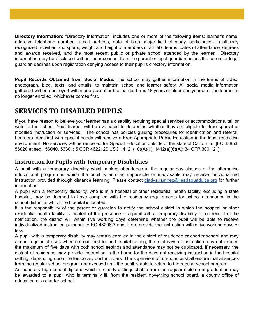**Directory Information:** "Directory Information" includes one or more of the following items: learner's name, address, telephone number, e-mail address, date of birth, major field of study, participation in officially recognized activities and sports, weight and height of members of athletic teams, dates of attendance, degrees and awards received, and the most recent public or private school attended by the learner. Directory information may be disclosed without prior consent from the parent or legal guardian unless the parent or legal guardian declines upon registration denying access to their pupil's directory information.

**Pupil Records Obtained from Social Media:** The school may gather information in the forms of video, photograph, blog, texts, and emails, to maintain school and learner safety. All social media information gathered will be destroyed within one year after the learner turns 18 years or older one year after the learner is no longer enrolled, whichever comes first.

### **SERVICES TO DISABLED PUPILS**

If you have reason to believe your learner has a disability requiring special services or accommodations, tell or write to the school. Your learner will be evaluated to determine whether they are eligible for free special or modified instruction or services. The school has policies guiding procedures for identification and referral. Learners identified with special needs will receive a Free Appropriate Public Education in the least restrictive environment. No services will be rendered for Special Education outside of the state of California. [EC 48853, 56020 et seq., 56040, 56301; 5 CCR 4622; 20 USC 1412, (10)(A)(ii), 1412(a)(6)(A); 34 CFR 300.121]

#### **Instruction for Pupils with Temporary Disabilities**

A pupil with a temporary disability which makes attendance in the regular day classes or the alternative educational program in which the pupil is enrolled impossible or inadvisable may receive individualized instruction provided through distance learning. Please contact [gladys.ramirez@ileadaguadulce.org](mailto:gladys.ramirez@ileadaguadulce.org) for further information.

A pupil with a temporary disability, who is in a hospital or other residential health facility, excluding a state hospital, may be deemed to have complied with the residency requirements for school attendance in the school district in which the hospital is located.

It is the responsibility of the parent or guardian to notify the school district in which the hospital or other residential health facility is located of the presence of a pupil with a temporary disability. Upon receipt of the notification, the district will within five working days determine whether the pupil will be able to receive individualized instruction pursuant to EC 48206.3 and, if so, provide the instruction within five working days or less.

A pupil with a temporary disability may remain enrolled in the district of residence or charter school and may attend regular classes when not confined to the hospital setting, the total days of instruction may not exceed the maximum of five days with both school settings and attendance may not be duplicated. If necessary, the district of residence may provide instruction in the home for the days not receiving instruction in the hospital setting, depending upon the temporary doctor orders. The supervisor of attendance shall ensure that absences from the regular school program are excused until the pupil is able to return to the regular school program.

An honorary high school diploma which is clearly distinguishable from the regular diploma of graduation may be awarded to a pupil who is terminally ill, from the resident governing school board, a county office of education or a charter school.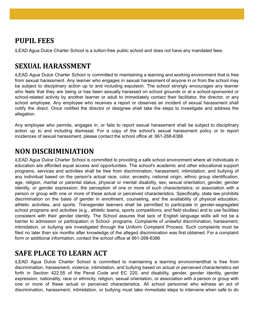### **PUPIL FEES**

iLEAD Agua Dulce Charter School is a tuition-free public school and does not have any mandated fees.

### **SEXUAL HARASSMENT**

iLEAD Agua Dulce Charter School is committed to maintaining a learning and working environment that is free from sexual harassment. Any learner who engages in sexual harassment of anyone in or from the school may be subject to disciplinary action up to and including expulsion. The school strongly encourages any learner who feels that they are being or has been sexually harassed on school grounds or at a school-sponsored or school-related activity by another learner or adult to immediately contact their facilitator, the director, or any school employee. Any employee who receives a report or observes an incident of sexual harassment shall notify the direct. Once notified the director or designee shall take the steps to investigate and address the allegation.

Any employee who permits, engages in, or fails to report sexual harassment shall be subject to disciplinary action up to and including dismissal. For a copy of the school's sexual harassment policy or to report incidences of sexual harassment, please contact the school office at: 661-268-6386

### **NON DISCRIMINIATION**

iLEAD Agua Dulce Charter School is committed to providing a safe school environment where all individuals in education are afforded equal access and opportunities. The school's academic and other educational support programs, services and activities shall be free from discrimination, harassment, intimidation, and bullying of any individual based on the person's actual race, color, ancestry, national origin, ethnic group identification, age, religion, marital or parental status, physical or mental disability, sex, sexual orientation, gender, gender identity, or gender expression; the perception of one or more of such characteristics; or association with a person or group with one or more of these actual or perceived characteristics. Specifically, state law prohibits discrimination on the basis of gender in enrollment, counseling, and the availability of physical education, athletic activities, and sports. Transgender learners shall be permitted to participate in gender-segregated school programs and activities (e.g., athletic teams, sports competitions, and field studies) and to use facilities consistent with their gender identity. The School assures that lack of English language skills will not be a barrier to admission or participation in School programs. Complaints of unlawful discrimination, harassment, intimidation, or bullying are investigated through the Uniform Complaint Process. Such complaints must be filed no later than six months after knowledge of the alleged discrimination was first obtained. For a complaint form or additional information, contact the school office at 661-268-6386

### **SAFE PLACE TO LEARN ACT**

iLEAD Agua Dulce Charter School is committed to maintaining a learning environmentthat is free from discrimination, harassment, violence, intimidation, and bullying based on actual or perceived characteristics set forth in Section 422.55 of the Penal Code and EC 220, and disability, gender, gender identity, gender expression, nationality, race or ethnicity, religion, sexual orientation, or association with a person or group with one or more of these actual or perceived characteristics. All school personnel who witness an act of discrimination, harassment, intimidation, or bullying must take immediate steps to intervene when safe to do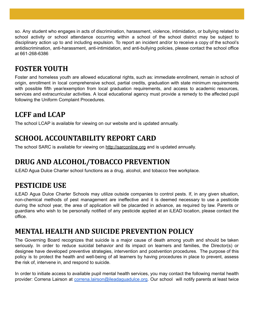so. Any student who engages in acts of discrimination, harassment, violence, intimidation, or bullying related to school activity or school attendance occurring within a school of the school district may be subject to disciplinary action up to and including expulsion. To report an incident and/or to receive a copy of the school's antidiscrimination, anti-harassment, anti-intimidation, and anti-bullying policies, please contact the school office at 661-268-6386

### **FOSTER YOUTH**

Foster and homeless youth are allowed educational rights, such as: immediate enrollment, remain in school of origin, enrollment in local comprehensive school, partial credits, graduation with state minimum requirements with possible fifth year/exemption from local graduation requirements, and access to academic resources, services and extracurricular activities. A local educational agency must provide a remedy to the affected pupil following the Uniform Complaint Procedures.

### **LCFF and LCAP**

The school LCAP is available for viewing on our website and is updated annually.

### **SCHOOL ACCOUNTABILITY REPORT CARD**

The school SARC is available for viewing on <http://sarconline.org> and is updated annually.

### **DRUG AND ALCOHOL/TOBACCO PREVENTION**

iLEAD Agua Dulce Charter school functions as a drug, alcohol, and tobacco free workplace.

### **PESTICIDE USE**

iLEAD Agua Dulce Charter Schools may utilize outside companies to control pests. If, in any given situation, non-chemical methods of pest management are ineffective and it is deemed necessary to use a pesticide during the school year, the area of application will be placarded in advance, as required by law. Parents or guardians who wish to be personally notified of any pesticide applied at an iLEAD location, please contact the office.

### **MENTAL HEALTH AND SUICIDE PREVENTION POLICY**

The Governing Board recognizes that suicide is a major cause of death among youth and should be taken seriously. In order to reduce suicidal behavior and its impact on learners and families, the Director(s) or designee have developed preventive strategies, intervention and postvention procedures. The purpose of this policy is to protect the health and well-being of all learners by having procedures in place to prevent, assess the risk of, intervene in, and respond to suicide.

In order to initiate access to available pupil mental health services, you may contact the following mental health provider: Correna Lairson at [correna.lairson@ileadaguadulce.org.](mailto:correna.lairson@ileadaguadulce.org) Our school will notify parents at least twice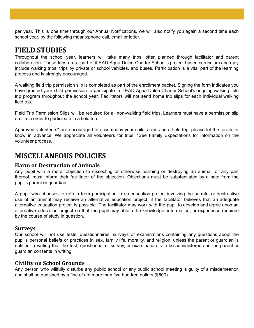per year. This is one time through our Annual Notifications, we will also notify you again a second time each school year, by the following means:phone call, email or letter.

### **FIELD STUDIES**

Throughout the school year, learners will take many trips, often planned through facilitator and parent collaboration. These trips are a part of iLEAD Agua Dulce Charter School's project-based curriculum and may include walking trips, trips by private or school vehicles, and buses. Participation is a vital part of the learning process and is strongly encouraged.

A walking field trip permission slip is completed as part of the enrollment packet. Signing the form indicates you have granted your child permission to participate in iLEAD Agua Dulce Charter School's ongoing walking field trip program throughout the school year. Facilitators will not send home trip slips for each individual walking field trip.

Field Trip Permission Slips will be required for all non-walking field trips. Learners must have a permission slip on file in order to participate in a field trip.

Approved volunteers\* are encouraged to accompany your child's class on a field trip, please let the facilitator know in advance. We appreciate all volunteers for trips. \*See Family Expectations for information on the volunteer process.

### **MISCELLANEOUS POLICIES**

#### **Harm or Destruction of Animals**

Any pupil with a moral objection to dissecting or otherwise harming or destroying an animal, or any part thereof, must inform their facilitator of the objection. Objections must be substantiated by a note from the pupil's parent or guardian.

A pupil who chooses to refrain from participation in an education project involving the harmful or destructive use of an animal may receive an alternative education project, if the facilitator believes that an adequate alternative education project is possible. The facilitator may work with the pupil to develop and agree upon an alternative education project so that the pupil may obtain the knowledge, information, or experience required by the course of study in question.

#### **Surveys**

Our school will not use tests, questionnaires, surveys or examinations containing any questions about the pupil's personal beliefs or practices in sex, family life, morality, and religion, unless the parent or guardian is notified in writing that the test, questionnaire, survey, or examination is to be administered and the parent or guardian consents in writing.

#### **Civility on School Grounds**

Any person who willfully disturbs any public school or any public school meeting is guilty of a misdemeanor, and shall be punished by a fine of not more than five hundred dollars (\$500).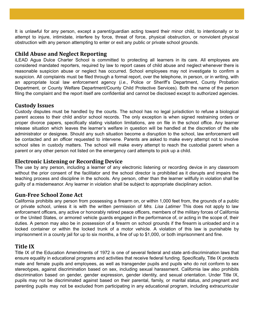It is unlawful for any person, except a parent/guardian acting toward their minor child, to intentionally or to attempt to injure, intimidate, interfere by force, threat of force, physical obstruction, or nonviolent physical obstruction with any person attempting to enter or exit any public or private school grounds.

#### **Child Abuse and Neglect Reporting**

iLEAD Agua Dulce Charter School is committed to protecting all learners in its care. All employees are considered mandated reporters, required by law to report cases of child abuse and neglect whenever there is reasonable suspicion abuse or neglect has occurred. School employees may not investigate to confirm a suspicion. All complaints must be filed through a formal report, over the telephone, in person, or in writing, with an appropriate local law enforcement agency (*i.e.*, Police or Sheriff's Department, County Probation Department, or County Welfare Department/County Child Protective Services). Both the name of the person filing the complaint and the report itself are confidential and cannot be disclosed except to authorized agencies.

#### **Custody Issues**

Custody disputes must be handled by the courts. The school has no legal jurisdiction to refuse a biological parent access to their child and/or school records. The only exception is when signed restraining orders or proper divorce papers, specifically stating visitation limitations, are on file in the school office. Any learner release situation which leaves the learner's welfare in question will be handled at the discretion of the site administrator or designee. Should any such situation become a disruption to the school, law enforcement will be contacted and an officer requested to intervene. Parents are asked to make every attempt not to involve school sites in custody matters. The school will make every attempt to reach the custodial parent when a parent or any other person not listed on the emergency card attempts to pick up a child.

#### **Electronic Listening or Recording Device**

The use by any person, including a learner of any electronic listening or recording device in any classroom without the prior consent of the facilitator and the school director is prohibited as it disrupts and impairs the teaching process and discipline in the schools. Any person, other than the learner willfully in violation shall be guilty of a misdemeanor. Any learner in violation shall be subject to appropriate disciplinary action.

#### **Gun-Free School Zone Act**

California prohibits any person from possessing a firearm on, or within 1,000 feet from, the grounds of a public or private school, unless it is with the written permission of *Mrs. Lisa Latimer* This does not apply to law enforcement officers, any active or honorably retired peace officers, members of the military forces of California or the United States, or armored vehicle guards engaged in the performance of, or acting in the scope of, their duties. A person may also be in possession of a firearm on school grounds if the firearm is unloaded and in a locked container or within the locked trunk of a motor vehicle. A violation of this law is punishable by imprisonment in a county jail for up to six months, a fine of up to \$1,000, or both imprisonment and fine.

#### **Title IX**

Title IX of the Education Amendments of 1972 is one of several federal and state anti-discrimination laws that ensure equality in educational programs and activities that receive federal funding. Specifically, Title IX protects male and female pupils and employees, as well as transgender pupils and pupils who do not conform to sex stereotypes, against discrimination based on sex, including sexual harassment. California law also prohibits discrimination based on gender, gender expression, gender identity, and sexual orientation. Under Title IX, pupils may not be discriminated against based on their parental, family, or marital status, and pregnant and parenting pupils may not be excluded from participating in any educational program, including extracurricular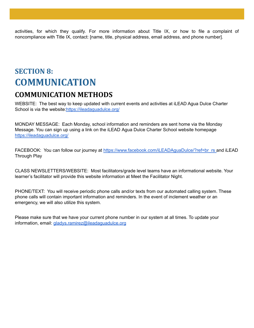activities, for which they qualify. For more information about Title IX, or how to file a complaint of noncompliance with Title IX, contact: [name, title, physical address, email address, and phone number].

## **SECTION 8: COMMUNICATION COMMUNICATION METHODS**

WEBSITE: The best way to keep updated with current events and activities at iLEAD Agua Dulce Charter School is via the website: https://ileadaguadulce.org/

MONDAY MESSAGE: Each Monday, school information and reminders are sent home via the Monday Message. You can sign up using a link on the iLEAD Agua Dulce Charter School website homepage <https://ileadaguadulce.org/>

FACEBOOK: You can follow our journey at [https://www.facebook.com/iLEADAguaDulce/?ref=br\\_rs](https://www.facebook.com/iLEADAguaDulce/?ref=br_rs) and iLEAD Through Play

CLASS NEWSLETTERS/WEBSITE: Most facilitators/grade level teams have an informational website. Your learner's facilitator will provide this website information at Meet the Facilitator Night.

PHONE/TEXT: You will receive periodic phone calls and/or texts from our automated calling system. These phone calls will contain important information and reminders. In the event of inclement weather or an emergency, we will also utilize this system.

Please make sure that we have your current phone number in our system at all times. To update your information, email: *[gladys.ramirez@ileadaguadulce.org](mailto:gladys.ramirez@ileadaguadulce.org)*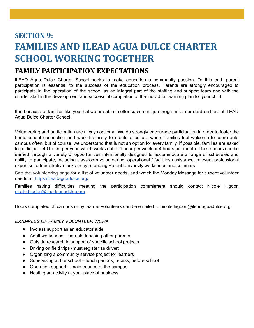# **SECTION 9: FAMILIES AND ILEAD AGUA DULCE CHARTER SCHOOL WORKING TOGETHER**

### **FAMILY PARTICIPATION EXPECTATIONS**

iLEAD Agua Dulce Charter School seeks to make education a community passion. To this end, parent participation is essential to the success of the education process. Parents are strongly encouraged to participate in the operation of the school as an integral part of the staffing and support team and with the charter staff in the development and successful completion of the individual learning plan for your child.

It is because of families like you that we are able to offer such a unique program for our children here at iLEAD Agua Dulce Charter School.

Volunteering and participation are always optional. We do strongly encourage participation in order to foster the home-school connection and work tirelessly to create a culture where families feel welcome to come onto campus often, but of course, we understand that is not an option for every family. If possible, families are asked to participate 40 hours per year, which works out to 1 hour per week or 4 hours per month. These hours can be earned through a variety of opportunities intentionally designed to accommodate a range of schedules and ability to participate, including classroom volunteering, operational / facilities assistance, relevant professional expertise, administrative tasks or by attending Parent University workshops and seminars.

See the [Volunteering](https://ileadsantaclarita.org/scvi-families/volunteering/) page for a list of volunteer needs, and watch the Monday Message for current volunteer needs at: <https://ileadaguadulce.org/>

Families having difficulties meeting the participation commitment should contact Nicole Higdon [nicole.higdon@ileadaguadulce.org](mailto:nicole.higdon@ileadaguadulce.org)

Hours completed off campus or by learner volunteers can be emailed to nicole.higdon@ileadaguadulce.org.

#### *EXAMPLES OF FAMILY VOLUNTEER WORK*

- In-class support as an educator aide
- Adult workshops parents teaching other parents
- Outside research in support of specific school projects
- Driving on field trips (must register as driver)
- Organizing a community service project for learners
- Supervising at the school lunch periods, recess, before school
- Operation support maintenance of the campus
- Hosting an activity at your place of business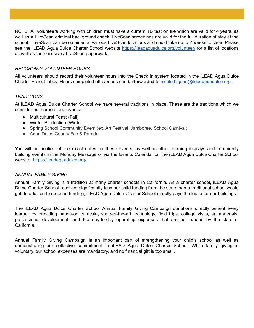NOTE: All volunteers working with children must have a current TB test on file which are valid for 4 years, as well as a LiveScan criminal background check. LiveScan screenings are valid for the full duration of stay at the school. LiveScan can be obtained at various LiveScan locations and could take up to 2 weeks to clear. Please see the iLEAD Agua Dulce Charter School website <https://ileadaguadulce.org/volunteer/> for a list of locations as well as the necessary LiveScan paperwork.

#### *RECORDING VOLUNTEER HOURS*

All volunteers should record their volunteer hours into the Check In system located in the iLEAD Agua Dulce Charter School lobby. Hours completed off-campus can be forwarded to [nicole.higdon@ileadaguadulce.org.](mailto:nicole.higdon@ileadaguadulce.org)

#### *TRADITIONS*

At iLEAD Agua Dulce Charter School we have several traditions in place. These are the traditions which we consider our cornerstone events:

- Multicultural Feast (Fall)
- Winter Production (Winter)
- Spring School Community Event (ex. Art Festival, Jamboree, School Carnival)
- Agua Dulce County Fair & Parade

You will be notified of the exact dates for these events, as well as other learning displays and community building events in the Monday Message or via the Events Calendar on the iLEAD Agua Dulce Charter School website. <https://ileadaguadulce.org/>

#### *ANNUAL FAMILY GIVING*

Annual Family Giving is a tradition at many charter schools in California. As a charter school, iLEAD Agua Dulce Charter School receives significantly less per child funding from the state than a traditional school would get. In addition to reduced funding, iLEAD Agua Dulce Charter School directly pays the lease for our buildings.

The iLEAD Agua Dulce Charter School Annual Family Giving Campaign donations directly benefit every learner by providing hands-on curricula, state-of-the-art technology, field trips, college visits, art materials, professional development, and the day-to-day operating expenses that are not funded by the state of California.

Annual Family Giving Campaign is an important part of strengthening your child's school as well as demonstrating our collective commitment to iLEAD Agua Dulce Charter School. While family giving is voluntary, our school expenses are mandatory, and no financial gift is too small.